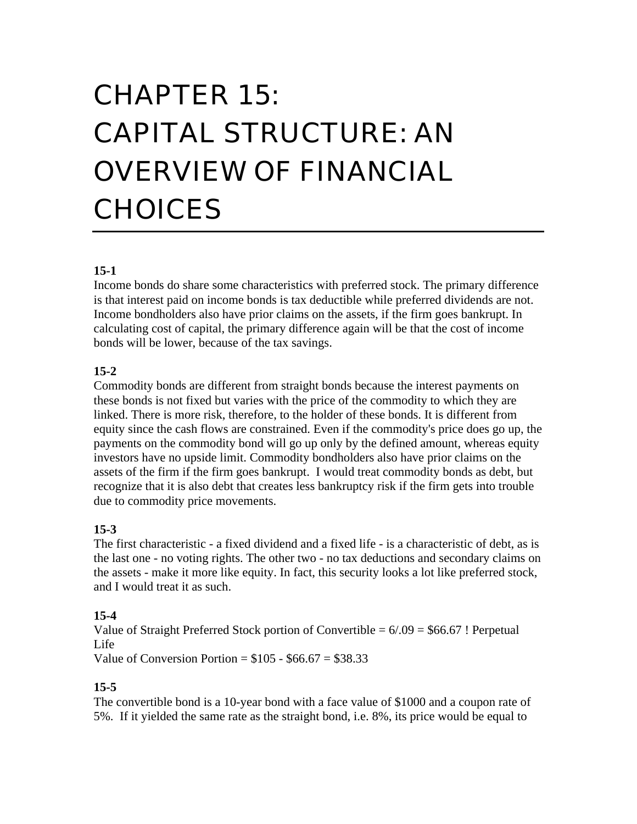# CHAPTER 15: CAPITAL STRUCTURE: AN OVERVIEW OF FINANCIAL CHOICES

#### **15-1**

Income bonds do share some characteristics with preferred stock. The primary difference is that interest paid on income bonds is tax deductible while preferred dividends are not. Income bondholders also have prior claims on the assets, if the firm goes bankrupt. In calculating cost of capital, the primary difference again will be that the cost of income bonds will be lower, because of the tax savings.

#### **15-2**

Commodity bonds are different from straight bonds because the interest payments on these bonds is not fixed but varies with the price of the commodity to which they are linked. There is more risk, therefore, to the holder of these bonds. It is different from equity since the cash flows are constrained. Even if the commodity's price does go up, the payments on the commodity bond will go up only by the defined amount, whereas equity investors have no upside limit. Commodity bondholders also have prior claims on the assets of the firm if the firm goes bankrupt. I would treat commodity bonds as debt, but recognize that it is also debt that creates less bankruptcy risk if the firm gets into trouble due to commodity price movements.

#### **15-3**

The first characteristic - a fixed dividend and a fixed life - is a characteristic of debt, as is the last one - no voting rights. The other two - no tax deductions and secondary claims on the assets - make it more like equity. In fact, this security looks a lot like preferred stock, and I would treat it as such.

## **15-4**

Value of Straight Preferred Stock portion of Convertible =  $6/0.09 = $66.67$ ! Perpetual Life

Value of Conversion Portion =  $$105 - $66.67 = $38.33$ 

## **15-5**

The convertible bond is a 10-year bond with a face value of \$1000 and a coupon rate of 5%. If it yielded the same rate as the straight bond, i.e. 8%, its price would be equal to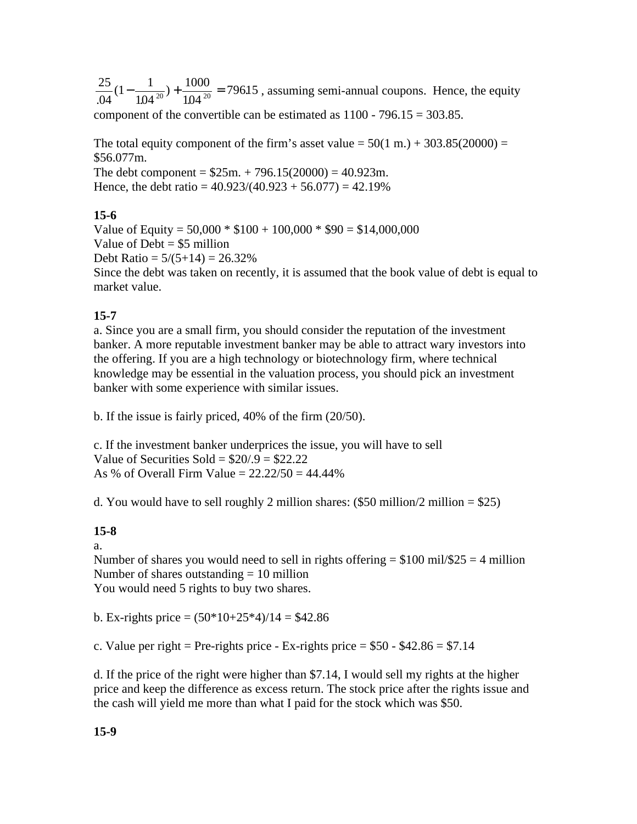$25_{11}$  1  $04$  1.04  $1-\frac{1}{10^{10}} + \frac{10}{10}$  $104^{20}$  10  $1000 - 7061$  $\frac{25}{104}(1-\frac{1}{104^{20}})+\frac{1000}{104^{20}}$  = 79615, assuming semi-annual coupons. Hence, the equity

component of the convertible can be estimated as  $1100 - 796.15 = 303.85$ .

The total equity component of the firm's asset value  $= 50(1 \text{ m.}) + 303.85(20000) =$ \$56.077m.

The debt component =  $$25m. + 796.15(20000) = 40.923m$ . Hence, the debt ratio =  $40.923/(40.923 + 56.077) = 42.19\%$ 

#### **15-6**

Value of Equity =  $50,000 * $100 + 100,000 * $90 = $14,000,000$ Value of  $Debt = $5$  million Debt Ratio =  $5/(5+14) = 26.32\%$ Since the debt was taken on recently, it is assumed that the book value of debt is equal to market value.

## **15-7**

a. Since you are a small firm, you should consider the reputation of the investment banker. A more reputable investment banker may be able to attract wary investors into the offering. If you are a high technology or biotechnology firm, where technical knowledge may be essential in the valuation process, you should pick an investment banker with some experience with similar issues.

b. If the issue is fairly priced, 40% of the firm (20/50).

c. If the investment banker underprices the issue, you will have to sell Value of Securities Sold =  $$20/9 = $22.22$ As % of Overall Firm Value =  $22.22/50 = 44.44%$ 

d. You would have to sell roughly 2 million shares:  $(\$50$  million/2 million =  $\$25$ )

## **15-8**

a.

Number of shares you would need to sell in rights offering  $= $100$  mil/\$25  $= 4$  million Number of shares outstanding  $= 10$  million You would need 5 rights to buy two shares.

b. Ex-rights price =  $(50*10+25*4)/14 = $42.86$ 

c. Value per right = Pre-rights price - Ex-rights price =  $$50 - $42.86 = $7.14$ 

d. If the price of the right were higher than \$7.14, I would sell my rights at the higher price and keep the difference as excess return. The stock price after the rights issue and the cash will yield me more than what I paid for the stock which was \$50.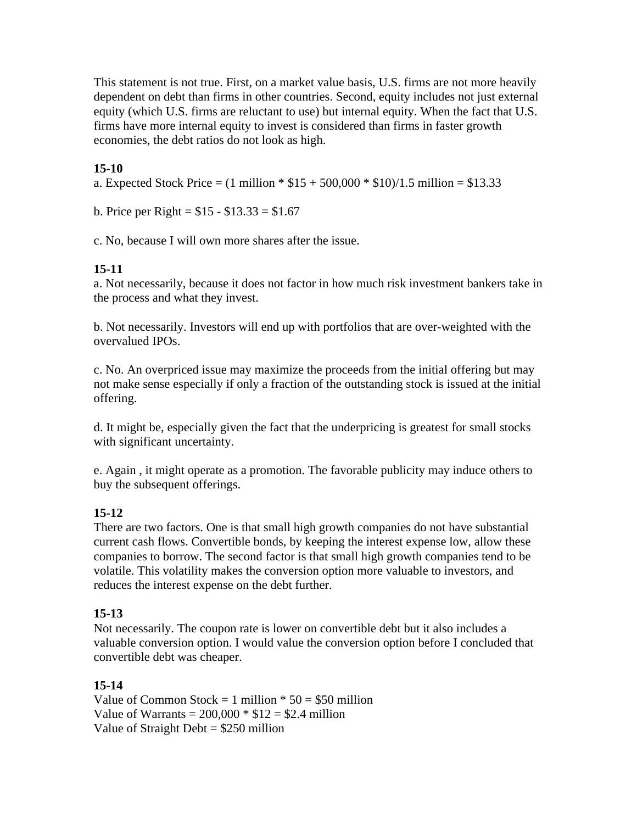This statement is not true. First, on a market value basis, U.S. firms are not more heavily dependent on debt than firms in other countries. Second, equity includes not just external equity (which U.S. firms are reluctant to use) but internal equity. When the fact that U.S. firms have more internal equity to invest is considered than firms in faster growth economies, the debt ratios do not look as high.

# **15-10**

a. Expected Stock Price =  $(1 \text{ million} * $15 + 500,000 * $10)/1.5 \text{ million} = $13.33$ 

b. Price per Right =  $$15 - $13.33 = $1.67$ 

c. No, because I will own more shares after the issue.

## **15-11**

a. Not necessarily, because it does not factor in how much risk investment bankers take in the process and what they invest.

b. Not necessarily. Investors will end up with portfolios that are over-weighted with the overvalued IPOs.

c. No. An overpriced issue may maximize the proceeds from the initial offering but may not make sense especially if only a fraction of the outstanding stock is issued at the initial offering.

d. It might be, especially given the fact that the underpricing is greatest for small stocks with significant uncertainty.

e. Again , it might operate as a promotion. The favorable publicity may induce others to buy the subsequent offerings.

## **15-12**

There are two factors. One is that small high growth companies do not have substantial current cash flows. Convertible bonds, by keeping the interest expense low, allow these companies to borrow. The second factor is that small high growth companies tend to be volatile. This volatility makes the conversion option more valuable to investors, and reduces the interest expense on the debt further.

#### **15-13**

Not necessarily. The coupon rate is lower on convertible debt but it also includes a valuable conversion option. I would value the conversion option before I concluded that convertible debt was cheaper.

#### **15-14**

Value of Common Stock = 1 million  $*$  50 = \$50 million Value of Warrants =  $200,000 * $12 = $2.4$  million Value of Straight Debt  $= $250$  million